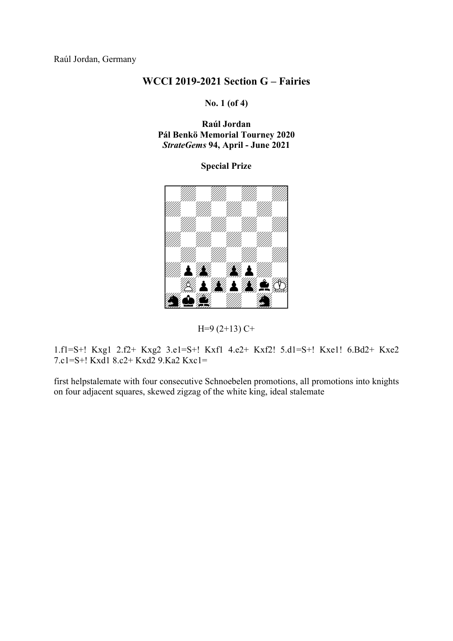Raúl Jordan, Germany

## WCCI 2019-2021 Section G – Fairies

No. 1 (of 4)

Raúl Jordan Pál Benkö Memorial Tourney 2020 StrateGems 94, April - June 2021

## Special Prize





1.f1=S+! Kxg1 2.f2+ Kxg2 3.e1=S+! Kxf1 4.e2+ Kxf2! 5.d1=S+! Kxe1! 6.Bd2+ Kxe2 7.c1=S+! Kxd1 8.c2+ Kxd2 9.Ka2 Kxc1=

first helpstalemate with four consecutive Schnoebelen promotions, all promotions into knights on four adjacent squares, skewed zigzag of the white king, ideal stalemate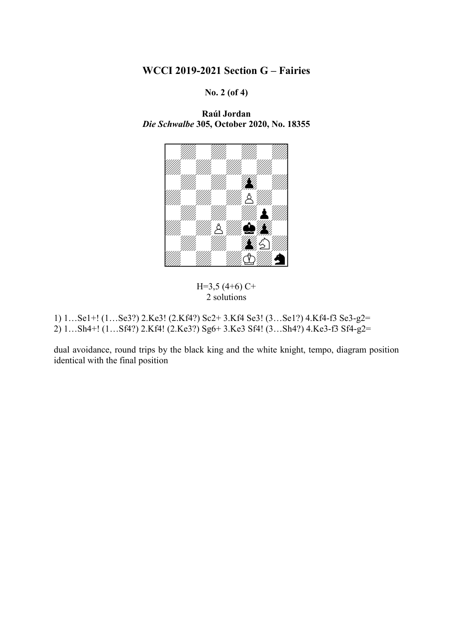## WCCI 2019-2021 Section G – Fairies

No. 2 (of 4)

Raúl Jordan Die Schwalbe 305, October 2020, No. 18355



 $H=3,5(4+6)C+$ 2 solutions

1) 1…Se1+! (1…Se3?) 2.Ke3! (2.Kf4?) Sc2+ 3.Kf4 Se3! (3…Se1?) 4.Kf4-f3 Se3-g2= 2) 1…Sh4+! (1…Sf4?) 2.Kf4! (2.Ke3?) Sg6+ 3.Ke3 Sf4! (3…Sh4?) 4.Ke3-f3 Sf4-g2=

dual avoidance, round trips by the black king and the white knight, tempo, diagram position identical with the final position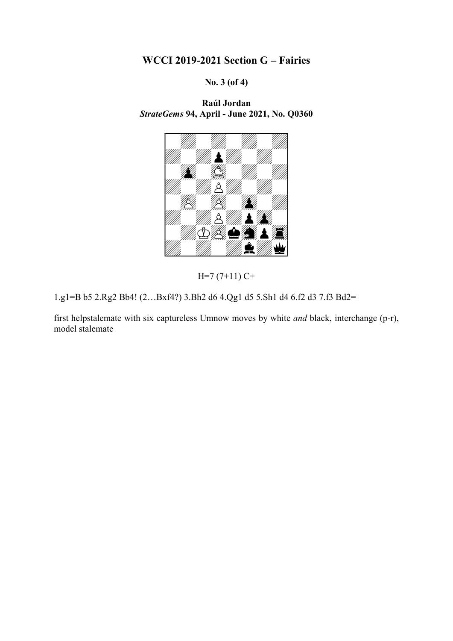WCCI 2019-2021 Section G – Fairies

No. 3 (of 4)

Raúl Jordan StrateGems 94, April - June 2021, No. Q0360



 $H=7(7+11)C+$ 

1.g1=B b5 2.Rg2 Bb4! (2…Bxf4?) 3.Bh2 d6 4.Qg1 d5 5.Sh1 d4 6.f2 d3 7.f3 Bd2=

first helpstalemate with six captureless Umnow moves by white and black, interchange (p-r), model stalemate